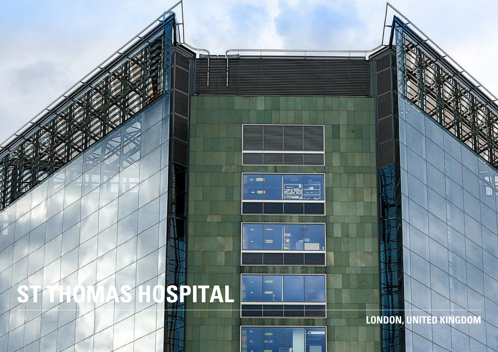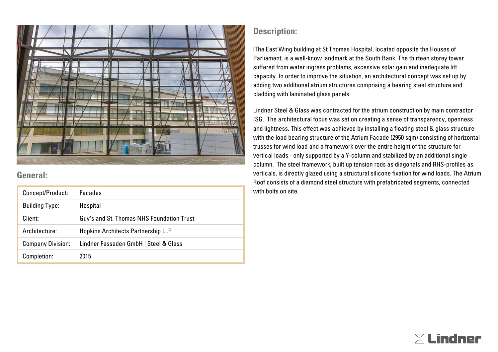

## **General:**

| Concept/Product:         | Facades                                   |
|--------------------------|-------------------------------------------|
| <b>Building Type:</b>    | Hospital                                  |
| Client:                  | Guy's and St. Thomas NHS Foundation Trust |
| Architecture:            | <b>Hopkins Architects Partnership LLP</b> |
| <b>Company Division:</b> | Lindner Fassaden GmbH   Steel & Glass     |
| Completion:              | 2015                                      |

## **Description:**

lThe East Wing building at St Thomas Hospital, located opposite the Houses of Parliament, is a well-know landmark at the South Bank. The thirteen storey tower suffered from water ingress problems, excessive solar gain and inadequate lift capacity. In order to improve the situation, an architectural concept was set up by adding two additional atrium structures comprising a bearing steel structure and cladding with laminated glass panels.

Lindner Steel & Glass was contracted for the atrium construction by main contractor ISG. The architectural focus was set on creating a sense of transparency, openness and lightness. This effect was achieved by installing a floating steel & glass structure with the load bearing structure of the Atrium Facade (2950 sqm) consisting of horizontal trusses for wind load and a framework over the entire height of the structure for vertical loads - only supported by a Y-column and stabilized by an additional single column. The steel framework, built up tension rods as diagonals and RHS-profiles as verticals, is directly glazed using a structural silicone fixation for wind loads. The Atrium Roof consists of a diamond steel structure with prefabricated segments, connected with bolts on site.

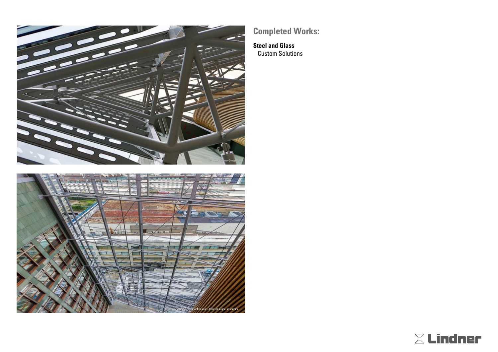



## **Completed Works:**

**Steel and Glass** Custom Solutions